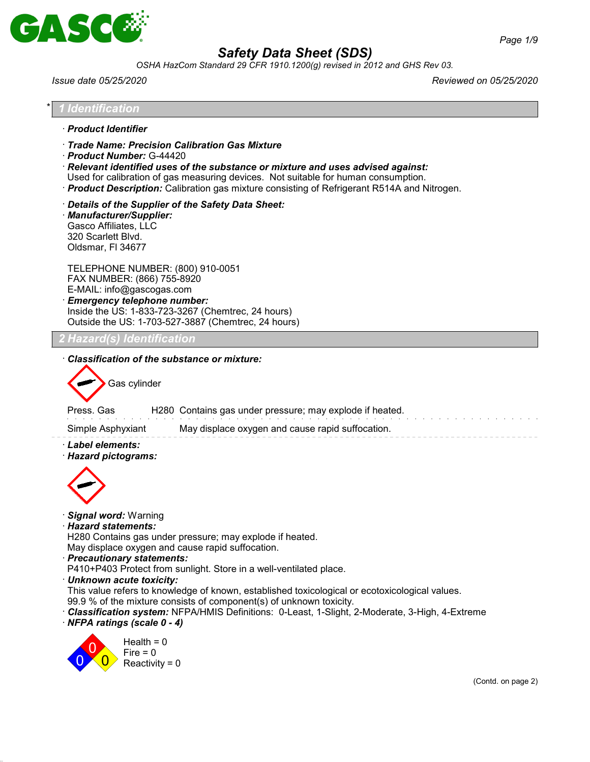

*OSHA HazCom Standard 29 CFR 1910.1200(g) revised in 2012 and GHS Rev 03.*

*Issue date 05/25/2020 Reviewed on 05/25/2020*

|                                                                                                                                                  | Identification                                                                                                                                                                                                                                                                                                                                                                                                                                                  |  |
|--------------------------------------------------------------------------------------------------------------------------------------------------|-----------------------------------------------------------------------------------------------------------------------------------------------------------------------------------------------------------------------------------------------------------------------------------------------------------------------------------------------------------------------------------------------------------------------------------------------------------------|--|
| · Product Identifier                                                                                                                             |                                                                                                                                                                                                                                                                                                                                                                                                                                                                 |  |
| · Product Number: G-44420                                                                                                                        | · Trade Name: Precision Calibration Gas Mixture<br>$\cdot$ Relevant identified uses of the substance or mixture and uses advised against:<br>Used for calibration of gas measuring devices. Not suitable for human consumption.<br>· Product Description: Calibration gas mixture consisting of Refrigerant R514A and Nitrogen.                                                                                                                                 |  |
| · Manufacturer/Supplier:<br>Gasco Affiliates, LLC<br>320 Scarlett Blvd.<br>Oldsmar, FI 34677                                                     | Details of the Supplier of the Safety Data Sheet:                                                                                                                                                                                                                                                                                                                                                                                                               |  |
| FAX NUMBER: (866) 755-8920<br>E-MAIL: info@gascogas.com                                                                                          | TELEPHONE NUMBER: (800) 910-0051<br>· Emergency telephone number:<br>Inside the US: 1-833-723-3267 (Chemtrec, 24 hours)<br>Outside the US: 1-703-527-3887 (Chemtrec, 24 hours)                                                                                                                                                                                                                                                                                  |  |
| <b>! Hazard(s) Identification</b>                                                                                                                |                                                                                                                                                                                                                                                                                                                                                                                                                                                                 |  |
| Gas cylinder<br>Press. Gas<br>Simple Asphyxiant<br>· Label elements:<br>· Hazard pictograms:                                                     | H280 Contains gas under pressure; may explode if heated.<br>May displace oxygen and cause rapid suffocation.                                                                                                                                                                                                                                                                                                                                                    |  |
| · Signal word: Warning<br>· Hazard statements:<br>· Precautionary statements:<br>· Unknown acute toxicity:<br>$\cdot$ NFPA ratings (scale 0 - 4) | H280 Contains gas under pressure; may explode if heated.<br>May displace oxygen and cause rapid suffocation.<br>P410+P403 Protect from sunlight. Store in a well-ventilated place.<br>This value refers to knowledge of known, established toxicological or ecotoxicological values.<br>99.9 % of the mixture consists of component(s) of unknown toxicity.<br>· Classification system: NFPA/HMIS Definitions: 0-Least, 1-Slight, 2-Moderate, 3-High, 4-Extreme |  |
|                                                                                                                                                  | Health = $0$<br>Fire $= 0$<br>Reactivity = $0$                                                                                                                                                                                                                                                                                                                                                                                                                  |  |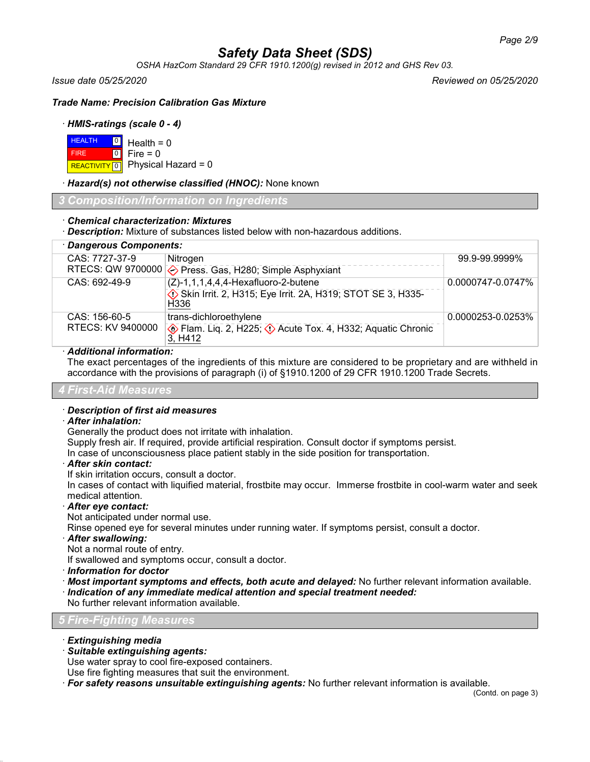*OSHA HazCom Standard 29 CFR 1910.1200(g) revised in 2012 and GHS Rev 03.*

*Issue date 05/25/2020 Reviewed on 05/25/2020*

*Trade Name: Precision Calibration Gas Mixture*

### · *HMIS-ratings (scale 0 - 4)*

| $H = 0$ Health = 0 |                                          |
|--------------------|------------------------------------------|
| <b>FIRE</b>        | $\blacksquare$ 0 $\blacksquare$ Fire = 0 |
|                    | REACTIVITY 0 Physical Hazard = 0         |

### · *Hazard(s) not otherwise classified (HNOC):* None known

*3 Composition/Information on Ingredients*

## · *Chemical characterization: Mixtures*

· *Description:* Mixture of substances listed below with non-hazardous additions.

| · Dangerous Components: |                                                                                                  |                   |
|-------------------------|--------------------------------------------------------------------------------------------------|-------------------|
| CAS: 7727-37-9          | Nitrogen                                                                                         | 99.9-99.9999%     |
|                         | RTECS: QW 9700000 $\diamond$ Press. Gas, H280; Simple Asphyxiant                                 |                   |
| CAS: 692-49-9           | $(Z)-1, 1, 1, 4, 4, 4$ -Hexafluoro-2-butene                                                      | 0.0000747-0.0747% |
|                         | Skin Irrit. 2, H315; Eye Irrit. 2A, H319; STOT SE 3, H335-<br>H <sub>336</sub>                   |                   |
| CAS: 156-60-5           | trans-dichloroethylene                                                                           | 0.0000253-0.0253% |
| RTECS: KV 9400000       | $\diamondsuit$ Flam. Lig. 2, H225; $\diamondsuit$ Acute Tox. 4, H332; Aquatic Chronic<br>3, H412 |                   |

## · *Additional information:*

The exact percentages of the ingredients of this mixture are considered to be proprietary and are withheld in accordance with the provisions of paragraph (i) of §1910.1200 of 29 CFR 1910.1200 Trade Secrets.

#### *4 First-Aid Measures*

#### · *Description of first aid measures*

#### · *After inhalation:*

Generally the product does not irritate with inhalation.

Supply fresh air. If required, provide artificial respiration. Consult doctor if symptoms persist.

In case of unconsciousness place patient stably in the side position for transportation.

#### · *After skin contact:*

If skin irritation occurs, consult a doctor.

In cases of contact with liquified material, frostbite may occur. Immerse frostbite in cool-warm water and seek medical attention.

## · *After eye contact:*

Not anticipated under normal use.

Rinse opened eye for several minutes under running water. If symptoms persist, consult a doctor.

## · *After swallowing:*

Not a normal route of entry.

If swallowed and symptoms occur, consult a doctor.

- · *Information for doctor*
- · *Most important symptoms and effects, both acute and delayed:* No further relevant information available.
- · *Indication of any immediate medical attention and special treatment needed:*

No further relevant information available.

## *5 Fire-Fighting Measures*

- · *Extinguishing media*
- · *Suitable extinguishing agents:*

Use water spray to cool fire-exposed containers.

Use fire fighting measures that suit the environment.

· *For safety reasons unsuitable extinguishing agents:* No further relevant information is available.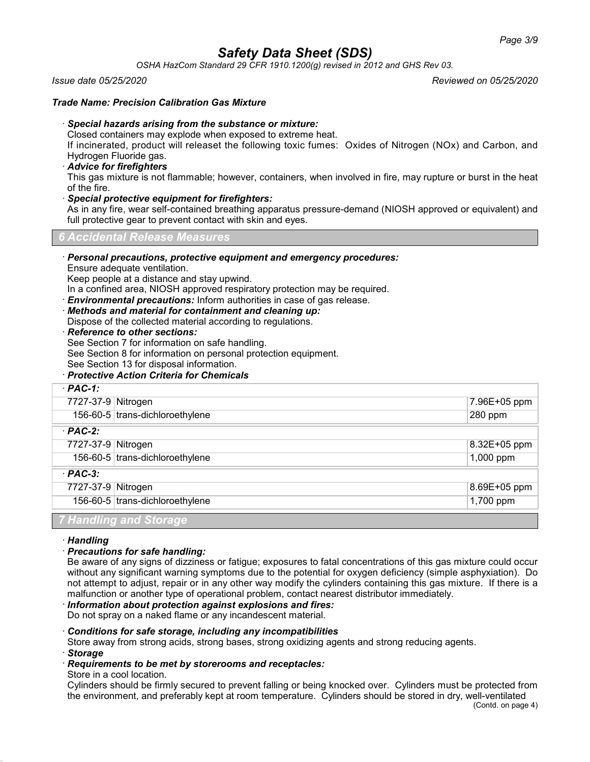*OSHA HazCom Standard 29 CFR 1910.1200(g) revised in 2012 and GHS Rev 03.*

#### *Issue date 05/25/2020 Reviewed on 05/25/2020*

#### *Trade Name: Precision Calibration Gas Mixture*

## · *Special hazards arising from the substance or mixture:*

Closed containers may explode when exposed to extreme heat.

If incinerated, product will releaset the following toxic fumes: Oxides of Nitrogen (NOx) and Carbon, and Hydrogen Fluoride gas.

#### · *Advice for firefighters*

This gas mixture is not flammable; however, containers, when involved in fire, may rupture or burst in the heat of the fire.

#### · *Special protective equipment for firefighters:*

As in any fire, wear self-contained breathing apparatus pressure-demand (NIOSH approved or equivalent) and full protective gear to prevent contact with skin and eyes.

*6 Accidental Release Measures*

#### · *Personal precautions, protective equipment and emergency procedures:*

Ensure adequate ventilation.

Keep people at a distance and stay upwind.

In a confined area, NIOSH approved respiratory protection may be required.

· *Environmental precautions:* Inform authorities in case of gas release.

· *Methods and material for containment and cleaning up:*

Dispose of the collected material according to regulations.

· *Reference to other sections:*

See Section 7 for information on safe handling.

See Section 8 for information on personal protection equipment.

See Section 13 for disposal information.

### · *Protective Action Criteria for Chemicals*

| $·$ PAC-1:         |                                 |                  |
|--------------------|---------------------------------|------------------|
| 7727-37-9 Nitrogen |                                 | 7.96E+05 ppm     |
|                    | 156-60-5 trans-dichloroethylene | $\sqrt{280}$ ppm |
| $·$ PAC-2:         |                                 |                  |
| 7727-37-9 Nitrogen |                                 | 8.32E+05 ppm     |
|                    | 156-60-5 trans-dichloroethylene | $1,000$ ppm      |
| $·$ PAC-3:         |                                 |                  |
| 7727-37-9 Nitrogen |                                 | 8.69E+05 ppm     |
|                    | 156-60-5 trans-dichloroethylene | 1,700 ppm        |
|                    | 7 Handling and Storage          |                  |

#### · *Handling*

#### · *Precautions for safe handling:*

Be aware of any signs of dizziness or fatigue; exposures to fatal concentrations of this gas mixture could occur without any significant warning symptoms due to the potential for oxygen deficiency (simple asphyxiation). Do not attempt to adjust, repair or in any other way modify the cylinders containing this gas mixture. If there is a malfunction or another type of operational problem, contact nearest distributor immediately.

## · *Information about protection against explosions and fires:*

Do not spray on a naked flame or any incandescent material.

#### · *Conditions for safe storage, including any incompatibilities*

Store away from strong acids, strong bases, strong oxidizing agents and strong reducing agents.

· *Storage*

### · *Requirements to be met by storerooms and receptacles:*

Store in a cool location.

Cylinders should be firmly secured to prevent falling or being knocked over. Cylinders must be protected from the environment, and preferably kept at room temperature. Cylinders should be stored in dry, well-ventilated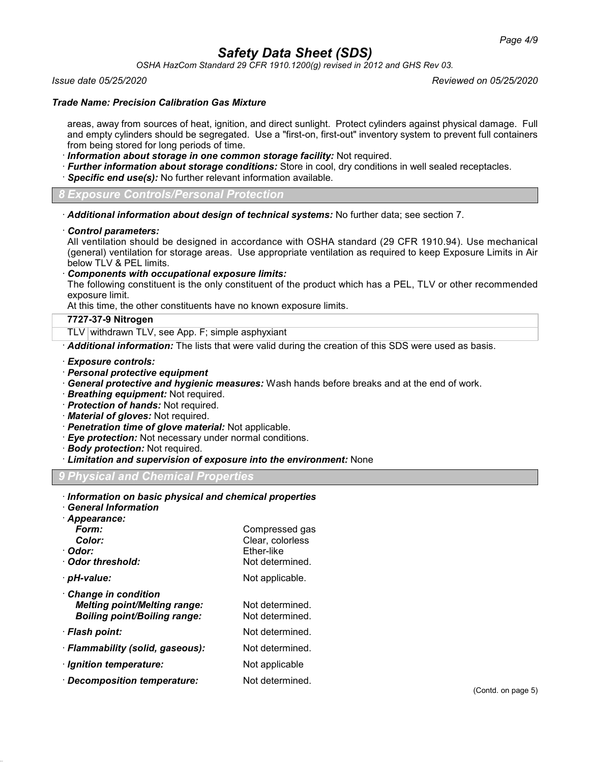*OSHA HazCom Standard 29 CFR 1910.1200(g) revised in 2012 and GHS Rev 03.*

#### *Issue date 05/25/2020 Reviewed on 05/25/2020*

#### *Trade Name: Precision Calibration Gas Mixture*

areas, away from sources of heat, ignition, and direct sunlight. Protect cylinders against physical damage. Full and empty cylinders should be segregated. Use a "first-on, first-out" inventory system to prevent full containers from being stored for long periods of time.

- · *Information about storage in one common storage facility:* Not required.
- · *Further information about storage conditions:* Store in cool, dry conditions in well sealed receptacles.
- · *Specific end use(s):* No further relevant information available.

*8 Exposure Controls/Personal Protection*

- · *Additional information about design of technical systems:* No further data; see section 7.
- · *Control parameters:*

All ventilation should be designed in accordance with OSHA standard (29 CFR 1910.94). Use mechanical (general) ventilation for storage areas. Use appropriate ventilation as required to keep Exposure Limits in Air below TLV & PEL limits.

· *Components with occupational exposure limits:*

The following constituent is the only constituent of the product which has a PEL, TLV or other recommended exposure limit.

At this time, the other constituents have no known exposure limits.

#### **7727-37-9 Nitrogen**

TLV withdrawn TLV, see App. F; simple asphyxiant

· *Additional information:* The lists that were valid during the creation of this SDS were used as basis.

- · *Exposure controls:*
- · *Personal protective equipment*
- · *General protective and hygienic measures:* Wash hands before breaks and at the end of work.
- · *Breathing equipment:* Not required.
- · *Protection of hands:* Not required.
- · *Material of gloves:* Not required.
- · *Penetration time of glove material:* Not applicable.
- · *Eye protection:* Not necessary under normal conditions.
- · *Body protection:* Not required.
- · *Limitation and supervision of exposure into the environment:* None

## *9 Physical and Chemical Properties*

| Information on basic physical and chemical properties |                  |
|-------------------------------------------------------|------------------|
| · General Information                                 |                  |
| · Appearance:                                         |                  |
| Form:                                                 | Compressed gas   |
| Color:                                                | Clear, colorless |
| · Odor:                                               | Ether-like       |
| · Odor threshold:                                     | Not determined.  |
| · pH-value:                                           | Not applicable.  |
| <b>Change in condition</b>                            |                  |
| <b>Melting point/Melting range:</b>                   | Not determined.  |
| <b>Boiling point/Boiling range:</b>                   | Not determined.  |
| · Flash point:                                        | Not determined.  |
| · Flammability (solid, gaseous):                      | Not determined.  |
| · Ignition temperature:                               | Not applicable   |
| $\cdot$ Decomposition temperature:                    | Not determined.  |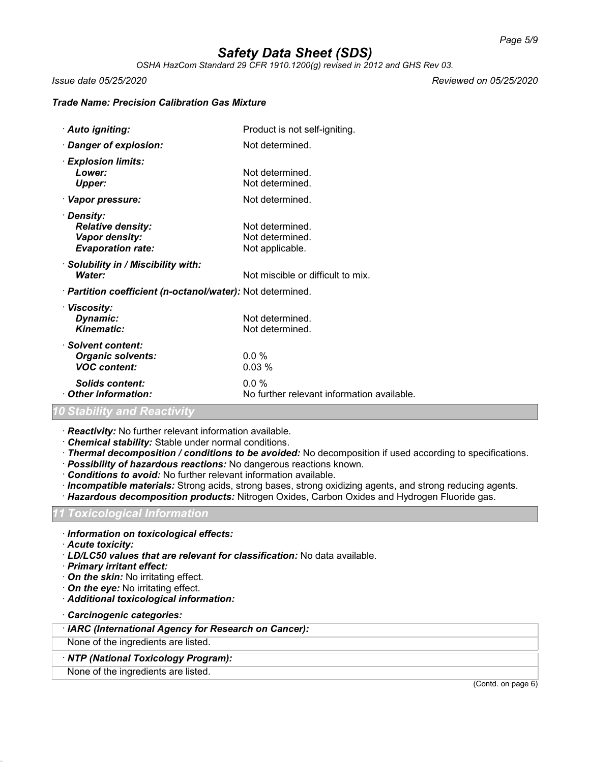*OSHA HazCom Standard 29 CFR 1910.1200(g) revised in 2012 and GHS Rev 03.*

*Issue date 05/25/2020 Reviewed on 05/25/2020*

#### *Trade Name: Precision Calibration Gas Mixture*

| · Auto igniting:                                                                            | Product is not self-igniting.                         |
|---------------------------------------------------------------------------------------------|-------------------------------------------------------|
| · Danger of explosion:                                                                      | Not determined.                                       |
| · Explosion limits:<br>Lower:<br><b>Upper:</b>                                              | Not determined.<br>Not determined.                    |
| · Vapor pressure:                                                                           | Not determined.                                       |
| · Density:<br><b>Relative density:</b><br><b>Vapor density:</b><br><b>Evaporation rate:</b> | Not determined.<br>Not determined.<br>Not applicable. |
| · Solubility in / Miscibility with:<br>Water:                                               | Not miscible or difficult to mix.                     |
| · <b>Partition coefficient (n-octanol/water):</b> Not determined.                           |                                                       |
| · Viscosity:<br>Dynamic:<br>Kinematic:                                                      | Not determined.<br>Not determined.                    |
| · Solvent content:<br><b>Organic solvents:</b><br><b>VOC content:</b>                       | $0.0\%$<br>0.03%                                      |
| <b>Solids content:</b><br>Other information:                                                | $0.0\%$<br>No further relevant information available. |

### *10 Stability and Reactivity*

· *Reactivity:* No further relevant information available.

- · *Chemical stability:* Stable under normal conditions.
- · *Thermal decomposition / conditions to be avoided:* No decomposition if used according to specifications.
- · *Possibility of hazardous reactions:* No dangerous reactions known.
- · *Conditions to avoid:* No further relevant information available.
- · *Incompatible materials:* Strong acids, strong bases, strong oxidizing agents, and strong reducing agents.
- · *Hazardous decomposition products:* Nitrogen Oxides, Carbon Oxides and Hydrogen Fluoride gas.

## *11 Toxicological Information*

- · *Information on toxicological effects:*
- · *Acute toxicity:*
- · *LD/LC50 values that are relevant for classification:* No data available.
- · *Primary irritant effect:*
- · *On the skin:* No irritating effect.
- · *On the eye:* No irritating effect.
- · *Additional toxicological information:*
- · *Carcinogenic categories:*

#### · *IARC (International Agency for Research on Cancer):*

None of the ingredients are listed.

#### · *NTP (National Toxicology Program):*

None of the ingredients are listed.

(Contd. on page 6)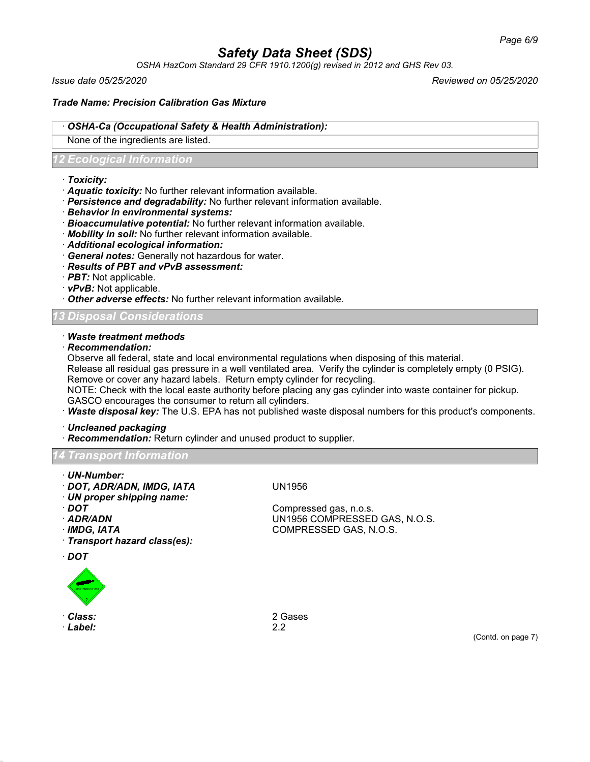*OSHA HazCom Standard 29 CFR 1910.1200(g) revised in 2012 and GHS Rev 03.*

*Issue date 05/25/2020 Reviewed on 05/25/2020*

### *Trade Name: Precision Calibration Gas Mixture*

#### · *OSHA-Ca (Occupational Safety & Health Administration):*

None of the ingredients are listed.

### *12 Ecological Information*

- · *Toxicity:*
- · *Aquatic toxicity:* No further relevant information available.
- · *Persistence and degradability:* No further relevant information available.
- · *Behavior in environmental systems:*
- · *Bioaccumulative potential:* No further relevant information available.
- · *Mobility in soil:* No further relevant information available.
- · *Additional ecological information:*
- · *General notes:* Generally not hazardous for water.
- · *Results of PBT and vPvB assessment:*
- · *PBT:* Not applicable.
- · *vPvB:* Not applicable.
- · *Other adverse effects:* No further relevant information available.

#### *13 Disposal Considerations*

#### · *Waste treatment methods*

· *Recommendation:*

Observe all federal, state and local environmental regulations when disposing of this material.

Release all residual gas pressure in a well ventilated area. Verify the cylinder is completely empty (0 PSIG). Remove or cover any hazard labels. Return empty cylinder for recycling.

NOTE: Check with the local easte authority before placing any gas cylinder into waste container for pickup.

GASCO encourages the consumer to return all cylinders. · *Waste disposal key:* The U.S. EPA has not published waste disposal numbers for this product's components.

· *Uncleaned packaging*

· *Recommendation:* Return cylinder and unused product to supplier.

## *16 Transport Information*

- · *UN-Number:*
- · *DOT, ADR/ADN, IMDG, IATA* UN1956
- · *UN proper shipping name:*
- 
- 
- 
- · *Transport hazard class(es):*
- · *DOT*



- 
- · *Label:* 2.2

**DOT** Compressed gas, n.o.s. · *ADR/ADN* UN1956 COMPRESSED GAS, N.O.S. · *IMDG, IATA* COMPRESSED GAS, N.O.S.

· *Class:* 2 Gases

(Contd. on page 7)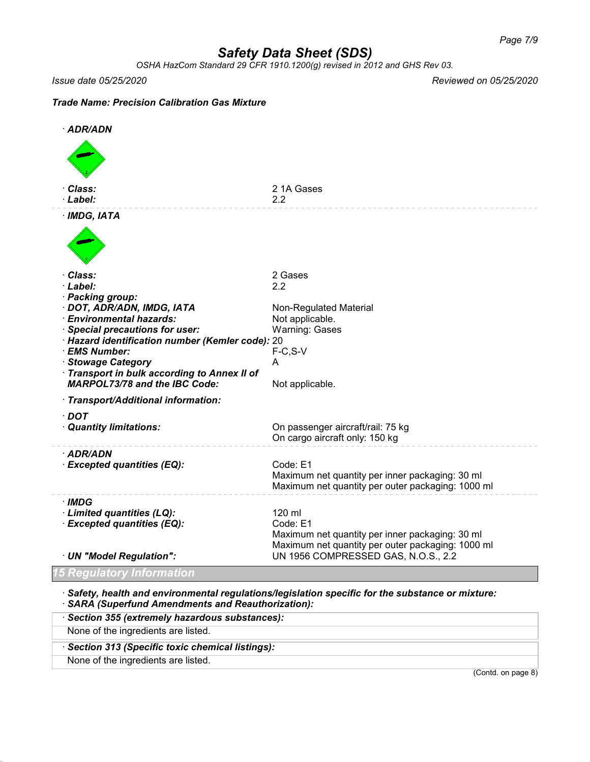*OSHA HazCom Standard 29 CFR 1910.1200(g) revised in 2012 and GHS Rev 03.*

*Issue date 05/25/2020 Reviewed on 05/25/2020*

#### *Trade Name: Precision Calibration Gas Mixture*



· *Safety, health and environmental regulations/legislation specific for the substance or mixture:* · *SARA (Superfund Amendments and Reauthorization):*

| Section 355 (extremely hazardous substances):   |                    |
|-------------------------------------------------|--------------------|
| None of the ingredients are listed.             |                    |
| Section 313 (Specific toxic chemical listings): |                    |
| None of the ingredients are listed.             |                    |
|                                                 | (Contd. on page 8) |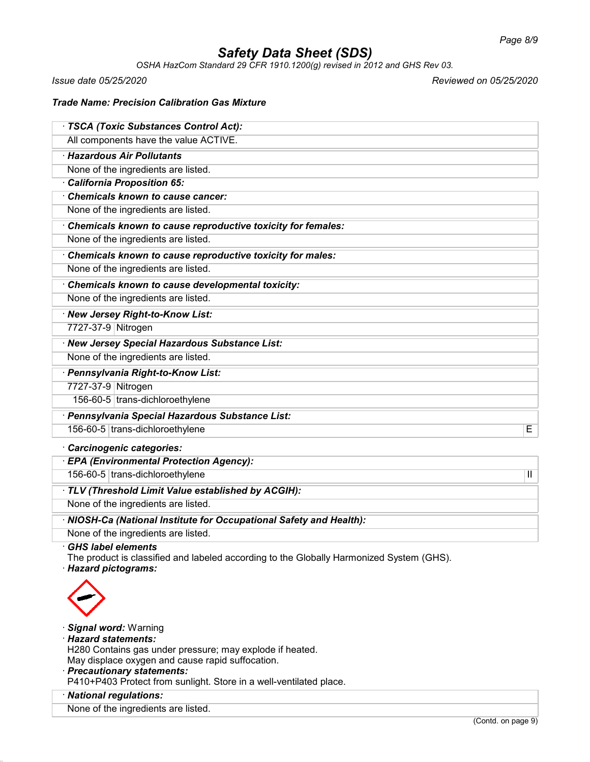*OSHA HazCom Standard 29 CFR 1910.1200(g) revised in 2012 and GHS Rev 03.*

*Issue date 05/25/2020 Reviewed on 05/25/2020*

#### *Trade Name: Precision Calibration Gas Mixture*

| · TSCA (Toxic Substances Control Act):                                                                                                        |
|-----------------------------------------------------------------------------------------------------------------------------------------------|
| All components have the value ACTIVE.                                                                                                         |
| · Hazardous Air Pollutants                                                                                                                    |
| None of the ingredients are listed.                                                                                                           |
| · California Proposition 65:                                                                                                                  |
| Chemicals known to cause cancer:                                                                                                              |
| None of the ingredients are listed.                                                                                                           |
| Chemicals known to cause reproductive toxicity for females:                                                                                   |
| None of the ingredients are listed.                                                                                                           |
| Chemicals known to cause reproductive toxicity for males:                                                                                     |
| None of the ingredients are listed.                                                                                                           |
| Chemicals known to cause developmental toxicity:                                                                                              |
| None of the ingredients are listed.                                                                                                           |
| · New Jersey Right-to-Know List:                                                                                                              |
| 7727-37-9 Nitrogen                                                                                                                            |
| · New Jersey Special Hazardous Substance List:                                                                                                |
| None of the ingredients are listed.                                                                                                           |
| · Pennsylvania Right-to-Know List:                                                                                                            |
| 7727-37-9 Nitrogen                                                                                                                            |
| 156-60-5 trans-dichloroethylene                                                                                                               |
| · Pennsylvania Special Hazardous Substance List:                                                                                              |
| 156-60-5 trans-dichloroethylene<br>E                                                                                                          |
| Carcinogenic categories:                                                                                                                      |
| · EPA (Environmental Protection Agency):                                                                                                      |
| 156-60-5 trans-dichloroethylene<br>$\mathbf{H}$                                                                                               |
| · TLV (Threshold Limit Value established by ACGIH):                                                                                           |
| None of the ingredients are listed.                                                                                                           |
| · NIOSH-Ca (National Institute for Occupational Safety and Health):                                                                           |
| None of the ingredients are listed.                                                                                                           |
| <b>GHS label elements</b><br>The product is classified and labeled according to the Globally Harmonized System (GHS).<br>· Hazard pictograms: |
|                                                                                                                                               |

- · *Signal word:* Warning
- · *Hazard statements:*
- H280 Contains gas under pressure; may explode if heated. May displace oxygen and cause rapid suffocation.
- · *Precautionary statements:*
- P410+P403 Protect from sunlight. Store in a well-ventilated place.
- · *National regulations:*
- None of the ingredients are listed.